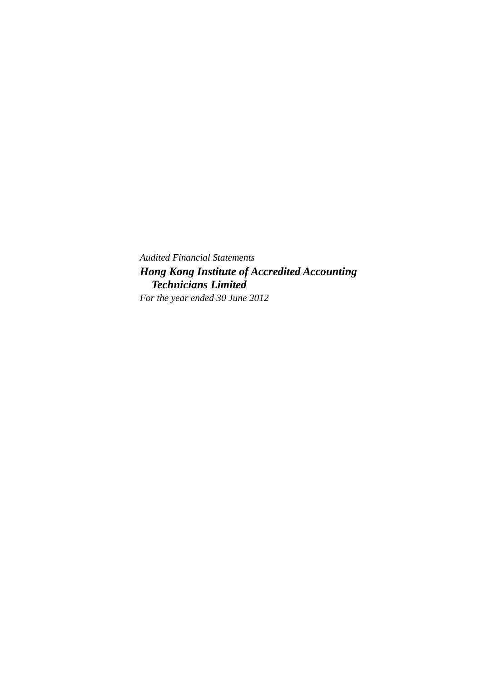*Audited Financial Statements Hong Kong Institute of Accredited Accounting Technicians Limited For the year ended 30 June 2012*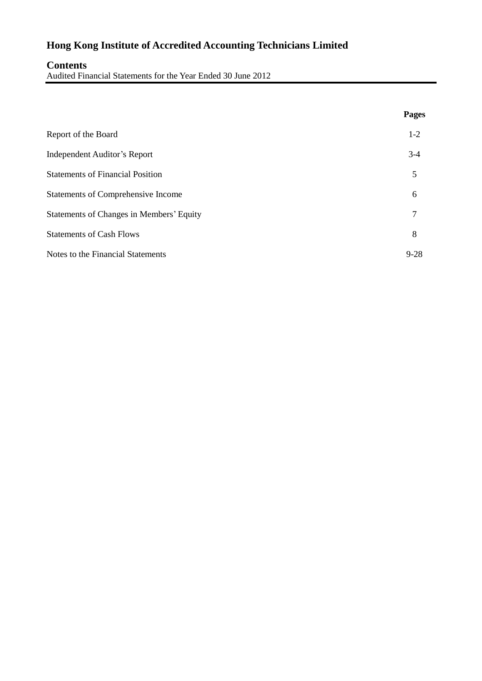# **Contents**

Audited Financial Statements for the Year Ended 30 June 2012

|                                           | Pages    |
|-------------------------------------------|----------|
| Report of the Board                       | $1-2$    |
| <b>Independent Auditor's Report</b>       | $3-4$    |
| <b>Statements of Financial Position</b>   | 5        |
| <b>Statements of Comprehensive Income</b> | 6        |
| Statements of Changes in Members' Equity  | 7        |
| <b>Statements of Cash Flows</b>           | 8        |
| Notes to the Financial Statements         | $9 - 28$ |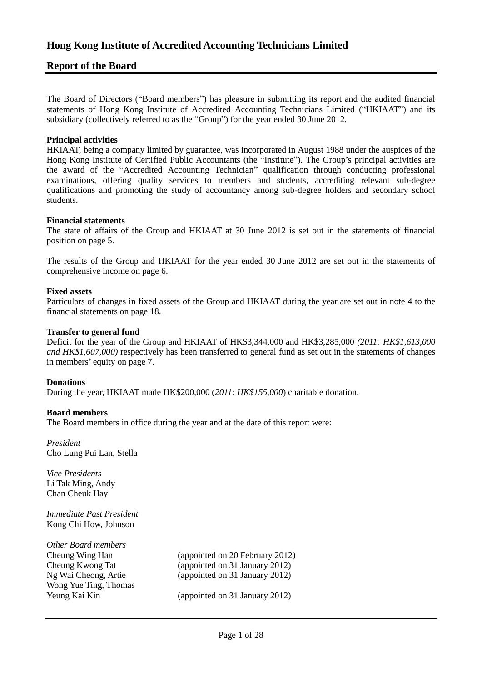# **Report of the Board**

The Board of Directors ("Board members") has pleasure in submitting its report and the audited financial statements of Hong Kong Institute of Accredited Accounting Technicians Limited ("HKIAAT") and its subsidiary (collectively referred to as the "Group") for the year ended 30 June 2012.

#### **Principal activities**

HKIAAT, being a company limited by guarantee, was incorporated in August 1988 under the auspices of the Hong Kong Institute of Certified Public Accountants (the "Institute"). The Group's principal activities are the award of the "Accredited Accounting Technician" qualification through conducting professional examinations, offering quality services to members and students, accrediting relevant sub-degree qualifications and promoting the study of accountancy among sub-degree holders and secondary school students.

#### **Financial statements**

The state of affairs of the Group and HKIAAT at 30 June 2012 is set out in the statements of financial position on page 5.

The results of the Group and HKIAAT for the year ended 30 June 2012 are set out in the statements of comprehensive income on page 6.

#### **Fixed assets**

Particulars of changes in fixed assets of the Group and HKIAAT during the year are set out in note 4 to the financial statements on page 18.

#### **Transfer to general fund**

Deficit for the year of the Group and HKIAAT of HK\$3,344,000 and HK\$3,285,000 *(2011: HK\$1,613,000 and HK\$1,607,000)* respectively has been transferred to general fund as set out in the statements of changes in members' equity on page 7.

#### **Donations**

During the year, HKIAAT made HK\$200,000 (*2011: HK\$155,000*) charitable donation.

#### **Board members**

The Board members in office during the year and at the date of this report were:

*President* Cho Lung Pui Lan, Stella

*Vice Presidents* Li Tak Ming, Andy Chan Cheuk Hay

*Immediate Past President* Kong Chi How, Johnson

| Other Board members   |                                 |
|-----------------------|---------------------------------|
| Cheung Wing Han       | (appointed on 20 February 2012) |
| Cheung Kwong Tat      | (appointed on 31 January 2012)  |
| Ng Wai Cheong, Artie  | (appointed on 31 January 2012)  |
| Wong Yue Ting, Thomas |                                 |
| Yeung Kai Kin         | (appointed on 31 January 2012)  |
|                       |                                 |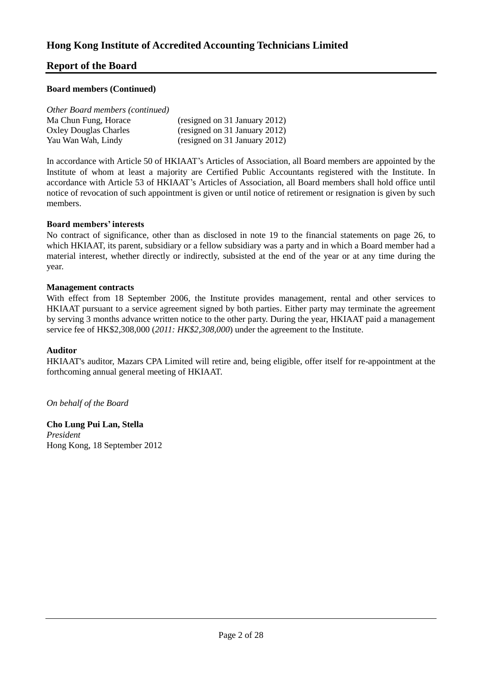# **Report of the Board**

## **Board members (Continued)**

| Other Board members (continued) |
|---------------------------------|
|---------------------------------|

| Ma Chun Fung, Horace         | (resigned on 31 January 2012) |
|------------------------------|-------------------------------|
| <b>Oxley Douglas Charles</b> | (resigned on 31 January 2012) |
| Yau Wan Wah, Lindy           | (resigned on 31 January 2012) |

In accordance with Article 50 of HKIAAT's Articles of Association, all Board members are appointed by the Institute of whom at least a majority are Certified Public Accountants registered with the Institute. In accordance with Article 53 of HKIAAT's Articles of Association, all Board members shall hold office until notice of revocation of such appointment is given or until notice of retirement or resignation is given by such members.

## **Board members' interests**

No contract of significance, other than as disclosed in note 19 to the financial statements on page 26, to which HKIAAT, its parent, subsidiary or a fellow subsidiary was a party and in which a Board member had a material interest, whether directly or indirectly, subsisted at the end of the year or at any time during the year.

## **Management contracts**

With effect from 18 September 2006, the Institute provides management, rental and other services to HKIAAT pursuant to a service agreement signed by both parties. Either party may terminate the agreement by serving 3 months advance written notice to the other party. During the year, HKIAAT paid a management service fee of HK\$2,308,000 (*2011: HK\$2,308,000*) under the agreement to the Institute.

## **Auditor**

HKIAAT's auditor, Mazars CPA Limited will retire and, being eligible, offer itself for re-appointment at the forthcoming annual general meeting of HKIAAT.

## *On behalf of the Board*

**Cho Lung Pui Lan, Stella** *President* Hong Kong, 18 September 2012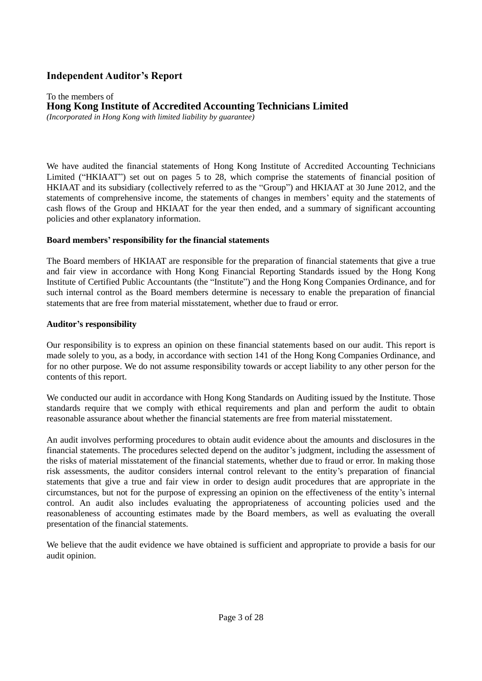# **Independent Auditor's Report**

#### To the members of **Hong Kong Institute of Accredited Accounting Technicians Limited** *(Incorporated in Hong Kong with limited liability by guarantee)*

We have audited the financial statements of Hong Kong Institute of Accredited Accounting Technicians Limited ("HKIAAT") set out on pages 5 to 28, which comprise the statements of financial position of HKIAAT and its subsidiary (collectively referred to as the "Group") and HKIAAT at 30 June 2012, and the statements of comprehensive income, the statements of changes in members' equity and the statements of cash flows of the Group and HKIAAT for the year then ended, and a summary of significant accounting policies and other explanatory information.

# **Board members' responsibility for the financial statements**

The Board members of HKIAAT are responsible for the preparation of financial statements that give a true and fair view in accordance with Hong Kong Financial Reporting Standards issued by the Hong Kong Institute of Certified Public Accountants (the "Institute") and the Hong Kong Companies Ordinance, and for such internal control as the Board members determine is necessary to enable the preparation of financial statements that are free from material misstatement, whether due to fraud or error.

# **Auditor's responsibility**

Our responsibility is to express an opinion on these financial statements based on our audit. This report is made solely to you, as a body, in accordance with section 141 of the Hong Kong Companies Ordinance, and for no other purpose. We do not assume responsibility towards or accept liability to any other person for the contents of this report.

We conducted our audit in accordance with Hong Kong Standards on Auditing issued by the Institute. Those standards require that we comply with ethical requirements and plan and perform the audit to obtain reasonable assurance about whether the financial statements are free from material misstatement.

An audit involves performing procedures to obtain audit evidence about the amounts and disclosures in the financial statements. The procedures selected depend on the auditor's judgment, including the assessment of the risks of material misstatement of the financial statements, whether due to fraud or error. In making those risk assessments, the auditor considers internal control relevant to the entity's preparation of financial statements that give a true and fair view in order to design audit procedures that are appropriate in the circumstances, but not for the purpose of expressing an opinion on the effectiveness of the entity's internal control. An audit also includes evaluating the appropriateness of accounting policies used and the reasonableness of accounting estimates made by the Board members, as well as evaluating the overall presentation of the financial statements.

We believe that the audit evidence we have obtained is sufficient and appropriate to provide a basis for our audit opinion.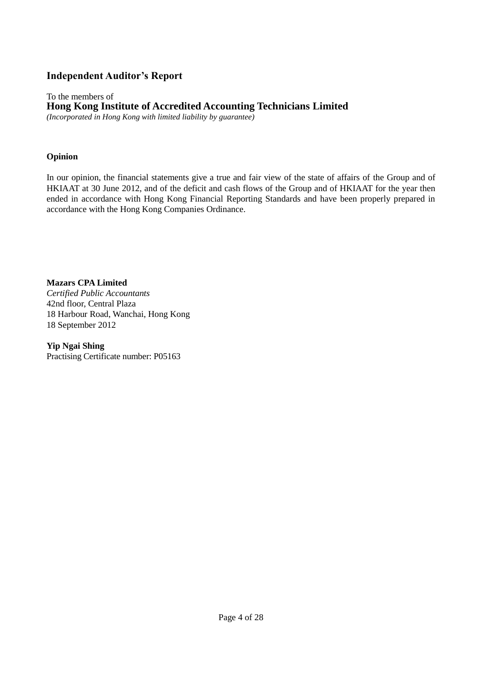# **Independent Auditor's Report**

To the members of **Hong Kong Institute of Accredited Accounting Technicians Limited** *(Incorporated in Hong Kong with limited liability by guarantee)*

# **Opinion**

In our opinion, the financial statements give a true and fair view of the state of affairs of the Group and of HKIAAT at 30 June 2012, and of the deficit and cash flows of the Group and of HKIAAT for the year then ended in accordance with Hong Kong Financial Reporting Standards and have been properly prepared in accordance with the Hong Kong Companies Ordinance.

**Mazars CPA Limited** *Certified Public Accountants* 42nd floor, Central Plaza 18 Harbour Road, Wanchai, Hong Kong 18 September 2012

**Yip Ngai Shing** Practising Certificate number: P05163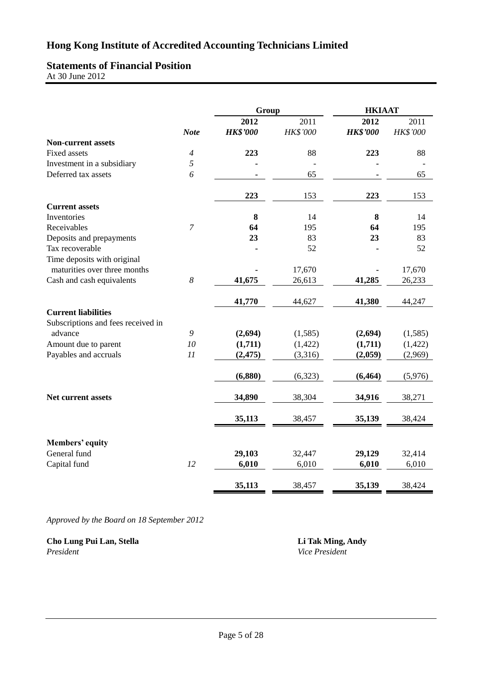# **Statements of Financial Position**

At 30 June 2012

|                                    |                       |                 | Group    | <b>HKIAAT</b>   |          |  |
|------------------------------------|-----------------------|-----------------|----------|-----------------|----------|--|
|                                    |                       | 2012            | 2011     | 2012            | 2011     |  |
|                                    | <b>Note</b>           | <b>HK\$'000</b> | HK\$'000 | <b>HK\$'000</b> | HK\$'000 |  |
| <b>Non-current assets</b>          |                       |                 |          |                 |          |  |
| Fixed assets                       | $\overline{4}$        | 223             | 88       | 223             | 88       |  |
| Investment in a subsidiary         | 5                     |                 |          |                 |          |  |
| Deferred tax assets                | 6                     |                 | 65       |                 | 65       |  |
|                                    |                       | 223             | 153      | 223             | 153      |  |
| <b>Current assets</b>              |                       |                 |          |                 |          |  |
| Inventories                        |                       | 8               | 14       | 8               | 14       |  |
| Receivables                        | $\boldsymbol{7}$      | 64              | 195      | 64              | 195      |  |
| Deposits and prepayments           |                       | 23              | 83       | 23              | 83       |  |
| Tax recoverable                    |                       |                 | 52       |                 | 52       |  |
| Time deposits with original        |                       |                 |          |                 |          |  |
| maturities over three months       |                       |                 | 17,670   |                 | 17,670   |  |
| Cash and cash equivalents          | $\boldsymbol{\delta}$ | 41,675          | 26,613   | 41,285          | 26,233   |  |
|                                    |                       | 41,770          | 44,627   | 41,380          | 44,247   |  |
| <b>Current liabilities</b>         |                       |                 |          |                 |          |  |
| Subscriptions and fees received in |                       |                 |          |                 |          |  |
| advance                            | 9                     | (2,694)         | (1,585)  | (2,694)         | (1,585)  |  |
| Amount due to parent               | 10                    | (1,711)         | (1, 422) | (1,711)         | (1, 422) |  |
| Payables and accruals              | 11                    | (2, 475)        | (3,316)  | (2,059)         | (2,969)  |  |
|                                    |                       | (6, 880)        | (6,323)  | (6, 464)        | (5,976)  |  |
| <b>Net current assets</b>          |                       | 34,890          | 38,304   | 34,916          | 38,271   |  |
|                                    |                       | 35,113          | 38,457   | 35,139          | 38,424   |  |
|                                    |                       |                 |          |                 |          |  |
| <b>Members' equity</b>             |                       |                 |          |                 |          |  |
| General fund                       |                       | 29,103          | 32,447   | 29,129          | 32,414   |  |
| Capital fund                       | 12                    | 6,010           | 6,010    | 6,010           | 6,010    |  |
|                                    |                       | 35,113          | 38,457   | 35,139          | 38,424   |  |

*Approved by the Board on 18 September 2012*

**Cho Lung Pui Lan, Stella Li Tak Ming, Andy** *President Vice President*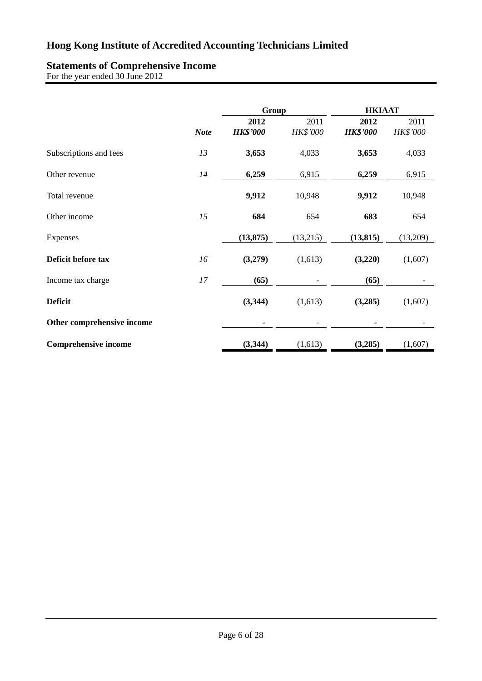# **Statements of Comprehensive Income**

For the year ended 30 June 2012

|                             |             | Group           |                 |                 | <b>HKIAAT</b>   |
|-----------------------------|-------------|-----------------|-----------------|-----------------|-----------------|
|                             |             | 2012            | 2011            | 2012            | 2011            |
|                             | <b>Note</b> | <b>HK\$'000</b> | <b>HK\$'000</b> | <b>HK\$'000</b> | <b>HK\$'000</b> |
| Subscriptions and fees      | 13          | 3,653           | 4,033           | 3,653           | 4,033           |
| Other revenue               | 14          | 6,259           | 6,915           | 6,259           | 6,915           |
| Total revenue               |             | 9,912           | 10,948          | 9,912           | 10,948          |
| Other income                | 15          | 684             | 654             | 683             | 654             |
| Expenses                    |             | (13, 875)       | (13,215)        | (13, 815)       | (13,209)        |
| Deficit before tax          | 16          | (3,279)         | (1,613)         | (3,220)         | (1,607)         |
| Income tax charge           | 17          | (65)            |                 | (65)            |                 |
| <b>Deficit</b>              |             | (3,344)         | (1,613)         | (3,285)         | (1,607)         |
| Other comprehensive income  |             |                 |                 |                 |                 |
| <b>Comprehensive income</b> |             | (3,344)         | (1,613)         | (3,285)         | (1,607)         |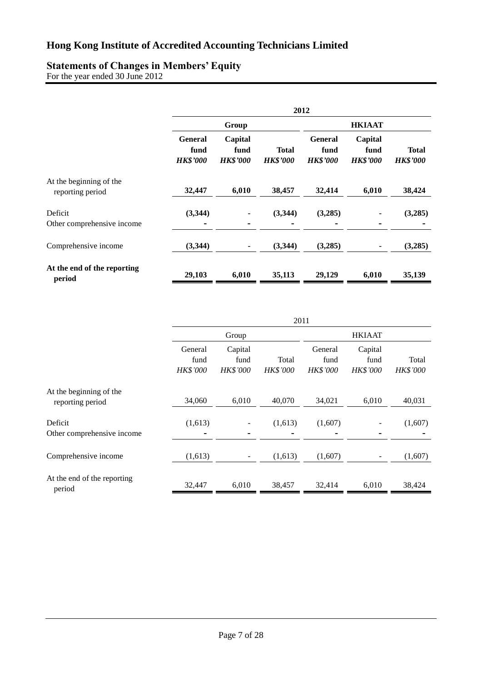# **Statements of Changes in Members' Equity**

For the year ended 30 June 2012

|                                             |                                           |                                    |                                 | 2012                                      |                                    |                                 |
|---------------------------------------------|-------------------------------------------|------------------------------------|---------------------------------|-------------------------------------------|------------------------------------|---------------------------------|
|                                             |                                           | Group                              |                                 |                                           | <b>HKIAAT</b>                      |                                 |
|                                             | <b>General</b><br>fund<br><b>HK\$'000</b> | Capital<br>fund<br><b>HK\$'000</b> | <b>Total</b><br><b>HK\$'000</b> | <b>General</b><br>fund<br><b>HK\$'000</b> | Capital<br>fund<br><b>HK\$'000</b> | <b>Total</b><br><b>HK\$'000</b> |
| At the beginning of the<br>reporting period | 32,447                                    | 6,010                              | 38,457                          | 32,414                                    | 6,010                              | 38,424                          |
| Deficit<br>Other comprehensive income       | (3,344)                                   | ۰                                  | (3,344)                         | (3,285)                                   |                                    | (3,285)                         |
| Comprehensive income                        | (3,344)                                   | ۰                                  | (3,344)                         | (3,285)                                   |                                    | (3,285)                         |
| At the end of the reporting<br>period       | 29,103                                    | 6,010                              | 35,113                          | 29,129                                    | 6,010                              | 35,139                          |

|                                             |                                    |                                    | 2011                     |                                    |                                    |                          |
|---------------------------------------------|------------------------------------|------------------------------------|--------------------------|------------------------------------|------------------------------------|--------------------------|
|                                             |                                    | Group                              |                          |                                    | <b>HKIAAT</b>                      |                          |
|                                             | General<br>fund<br><b>HK\$'000</b> | Capital<br>fund<br><b>HK\$'000</b> | Total<br><b>HK\$'000</b> | General<br>fund<br><b>HK\$'000</b> | Capital<br>fund<br><b>HK\$'000</b> | Total<br><b>HK\$'000</b> |
| At the beginning of the<br>reporting period | 34,060                             | 6,010                              | 40,070                   | 34,021                             | 6,010                              | 40,031                   |
| Deficit<br>Other comprehensive income       | (1,613)                            |                                    | (1,613)                  | (1,607)                            |                                    | (1,607)                  |
| Comprehensive income                        | (1,613)                            | $\overline{\phantom{a}}$           | (1,613)                  | (1,607)                            |                                    | (1,607)                  |
| At the end of the reporting<br>period       | 32,447                             | 6,010                              | 38,457                   | 32,414                             | 6,010                              | 38,424                   |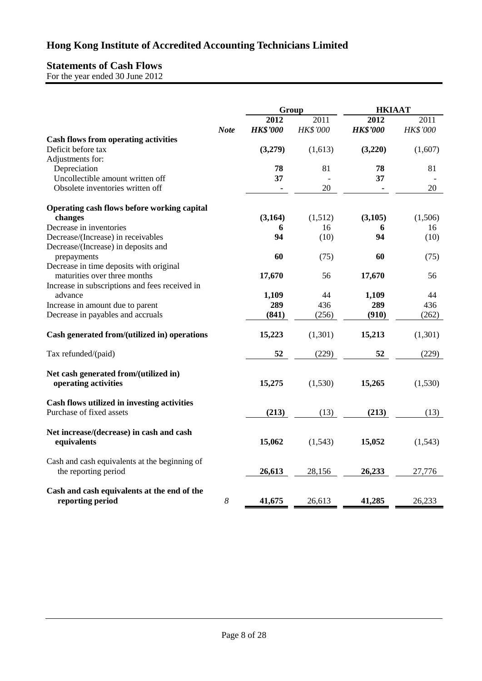# **Statements of Cash Flows**

For the year ended 30 June 2012

|                                                                       |                  | Group                   |                         | <b>HKIAAT</b>           |                  |
|-----------------------------------------------------------------------|------------------|-------------------------|-------------------------|-------------------------|------------------|
|                                                                       | <b>Note</b>      | 2012<br><b>HK\$'000</b> | 2011<br><b>HK\$'000</b> | 2012<br><b>HK\$'000</b> | 2011<br>HK\$'000 |
| <b>Cash flows from operating activities</b>                           |                  |                         |                         |                         |                  |
| Deficit before tax                                                    |                  | (3,279)                 | (1,613)                 | (3,220)                 | (1,607)          |
| Adjustments for:                                                      |                  |                         |                         |                         |                  |
| Depreciation                                                          |                  | 78                      | 81                      | 78                      | 81               |
| Uncollectible amount written off                                      |                  | 37                      | $\overline{a}$          | 37                      |                  |
| Obsolete inventories written off                                      |                  |                         | 20                      |                         | 20               |
| Operating cash flows before working capital                           |                  |                         |                         |                         |                  |
| changes                                                               |                  | (3,164)                 | (1,512)                 | (3,105)                 | (1,506)          |
| Decrease in inventories                                               |                  | 6                       | 16                      | 6                       | 16               |
| Decrease/(Increase) in receivables                                    |                  | 94                      | (10)                    | 94                      | (10)             |
| Decrease/(Increase) in deposits and                                   |                  |                         |                         |                         |                  |
| prepayments                                                           |                  | 60                      | (75)                    | 60                      | (75)             |
| Decrease in time deposits with original                               |                  |                         |                         |                         |                  |
| maturities over three months                                          |                  | 17,670                  | 56                      | 17,670                  | 56               |
| Increase in subscriptions and fees received in                        |                  |                         |                         |                         |                  |
| advance                                                               |                  | 1,109<br>289            | 44<br>436               | 1,109<br>289            | 44<br>436        |
| Increase in amount due to parent<br>Decrease in payables and accruals |                  | (841)                   | (256)                   | (910)                   | (262)            |
|                                                                       |                  |                         |                         |                         |                  |
| Cash generated from/(utilized in) operations                          |                  | 15,223                  | (1,301)                 | 15,213                  | (1,301)          |
| Tax refunded/(paid)                                                   |                  | 52                      | (229)                   | 52                      | (229)            |
| Net cash generated from/(utilized in)<br>operating activities         |                  | 15,275                  | (1,530)                 | 15,265                  | (1,530)          |
| Cash flows utilized in investing activities                           |                  |                         |                         |                         |                  |
| Purchase of fixed assets                                              |                  | (213)                   | (13)                    | (213)                   | (13)             |
| Net increase/(decrease) in cash and cash<br>equivalents               |                  | 15,062                  | (1,543)                 | 15,052                  | (1,543)          |
| Cash and cash equivalents at the beginning of<br>the reporting period |                  | 26,613                  | 28,156                  | 26,233                  | 27,776           |
| Cash and cash equivalents at the end of the<br>reporting period       | $\boldsymbol{8}$ | 41,675                  | 26,613                  | 41,285                  | 26,233           |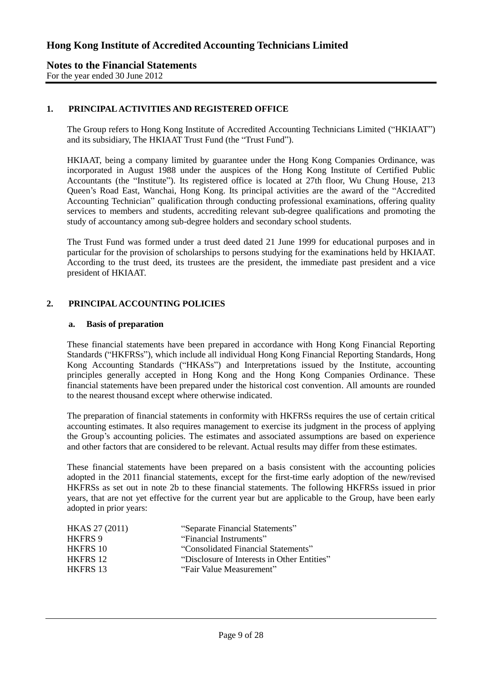# **1. PRINCIPAL ACTIVITIES AND REGISTERED OFFICE**

The Group refers to Hong Kong Institute of Accredited Accounting Technicians Limited ("HKIAAT") and its subsidiary, The HKIAAT Trust Fund (the "Trust Fund").

HKIAAT, being a company limited by guarantee under the Hong Kong Companies Ordinance, was incorporated in August 1988 under the auspices of the Hong Kong Institute of Certified Public Accountants (the "Institute"). Its registered office is located at 27th floor, Wu Chung House, 213 Queen's Road East, Wanchai, Hong Kong. Its principal activities are the award of the "Accredited Accounting Technician" qualification through conducting professional examinations, offering quality services to members and students, accrediting relevant sub-degree qualifications and promoting the study of accountancy among sub-degree holders and secondary school students.

The Trust Fund was formed under a trust deed dated 21 June 1999 for educational purposes and in particular for the provision of scholarships to persons studying for the examinations held by HKIAAT. According to the trust deed, its trustees are the president, the immediate past president and a vice president of HKIAAT.

## **2. PRINCIPAL ACCOUNTING POLICIES**

#### **a. Basis of preparation**

These financial statements have been prepared in accordance with Hong Kong Financial Reporting Standards ("HKFRSs"), which include all individual Hong Kong Financial Reporting Standards, Hong Kong Accounting Standards ("HKASs") and Interpretations issued by the Institute, accounting principles generally accepted in Hong Kong and the Hong Kong Companies Ordinance. These financial statements have been prepared under the historical cost convention. All amounts are rounded to the nearest thousand except where otherwise indicated.

The preparation of financial statements in conformity with HKFRSs requires the use of certain critical accounting estimates. It also requires management to exercise its judgment in the process of applying the Group's accounting policies. The estimates and associated assumptions are based on experience and other factors that are considered to be relevant. Actual results may differ from these estimates.

These financial statements have been prepared on a basis consistent with the accounting policies adopted in the 2011 financial statements, except for the first-time early adoption of the new/revised HKFRSs as set out in note 2b to these financial statements. The following HKFRSs issued in prior years, that are not yet effective for the current year but are applicable to the Group, have been early adopted in prior years:

| HKAS 27 (2011)  | "Separate Financial Statements"             |
|-----------------|---------------------------------------------|
| <b>HKFRS 9</b>  | "Financial Instruments"                     |
| <b>HKFRS 10</b> | "Consolidated Financial Statements"         |
| <b>HKFRS 12</b> | "Disclosure of Interests in Other Entities" |
| <b>HKFRS 13</b> | "Fair Value Measurement"                    |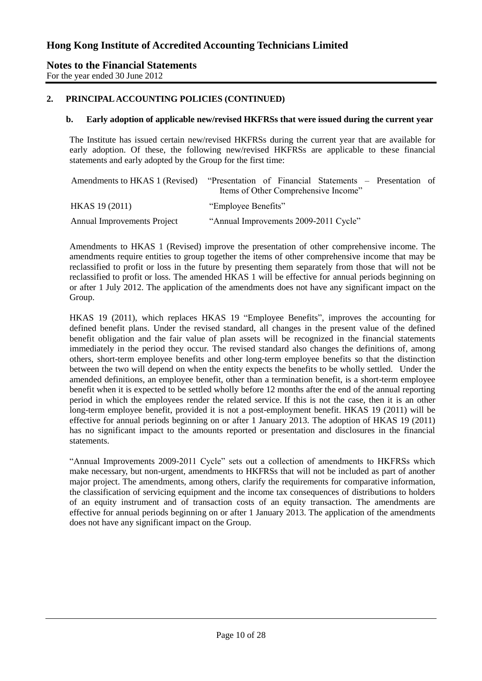## **2. PRINCIPAL ACCOUNTING POLICIES (CONTINUED)**

#### **b. Early adoption of applicable new/revised HKFRSs that were issued during the current year**

The Institute has issued certain new/revised HKFRSs during the current year that are available for early adoption. Of these, the following new/revised HKFRSs are applicable to these financial statements and early adopted by the Group for the first time:

| Amendments to HKAS 1 (Revised)     | "Presentation of Financial Statements – Presentation of |  |
|------------------------------------|---------------------------------------------------------|--|
|                                    | Items of Other Comprehensive Income"                    |  |
| HKAS 19 (2011)                     | "Employee Benefits"                                     |  |
| <b>Annual Improvements Project</b> | "Annual Improvements 2009-2011 Cycle"                   |  |

Amendments to HKAS 1 (Revised) improve the presentation of other comprehensive income. The amendments require entities to group together the items of other comprehensive income that may be reclassified to profit or loss in the future by presenting them separately from those that will not be reclassified to profit or loss. The amended HKAS 1 will be effective for annual periods beginning on or after 1 July 2012. The application of the amendments does not have any significant impact on the Group.

HKAS 19 (2011), which replaces HKAS 19 "Employee Benefits", improves the accounting for defined benefit plans. Under the revised standard, all changes in the present value of the defined benefit obligation and the fair value of plan assets will be recognized in the financial statements immediately in the period they occur. The revised standard also changes the definitions of, among others, short-term employee benefits and other long-term employee benefits so that the distinction between the two will depend on when the entity expects the benefits to be wholly settled. Under the amended definitions, an employee benefit, other than a termination benefit, is a short-term employee benefit when it is expected to be settled wholly before 12 months after the end of the annual reporting period in which the employees render the related service. If this is not the case, then it is an other long-term employee benefit, provided it is not a post-employment benefit. HKAS 19 (2011) will be effective for annual periods beginning on or after 1 January 2013. The adoption of HKAS 19 (2011) has no significant impact to the amounts reported or presentation and disclosures in the financial statements.

"Annual Improvements 2009-2011 Cycle" sets out a collection of amendments to HKFRSs which make necessary, but non-urgent, amendments to HKFRSs that will not be included as part of another major project. The amendments, among others, clarify the requirements for comparative information, the classification of servicing equipment and the income tax consequences of distributions to holders of an equity instrument and of transaction costs of an equity transaction. The amendments are effective for annual periods beginning on or after 1 January 2013. The application of the amendments does not have any significant impact on the Group.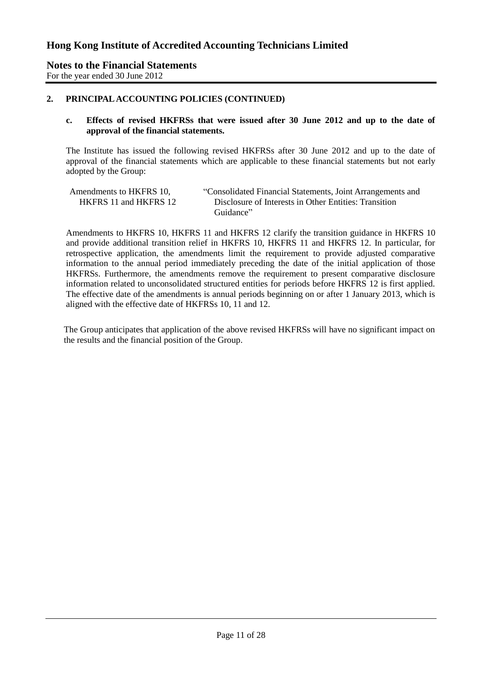### **2. PRINCIPAL ACCOUNTING POLICIES (CONTINUED)**

#### **c. Effects of revised HKFRSs that were issued after 30 June 2012 and up to the date of approval of the financial statements.**

The Institute has issued the following revised HKFRSs after 30 June 2012 and up to the date of approval of the financial statements which are applicable to these financial statements but not early adopted by the Group:

| Amendments to HKFRS 10, | "Consolidated Financial Statements, Joint Arrangements and |
|-------------------------|------------------------------------------------------------|
| HKFRS 11 and HKFRS 12   | Disclosure of Interests in Other Entities: Transition      |
|                         | Guidance"                                                  |

Amendments to HKFRS 10, HKFRS 11 and HKFRS 12 clarify the transition guidance in HKFRS 10 and provide additional transition relief in HKFRS 10, HKFRS 11 and HKFRS 12. In particular, for retrospective application, the amendments limit the requirement to provide adjusted comparative information to the annual period immediately preceding the date of the initial application of those HKFRSs. Furthermore, the amendments remove the requirement to present comparative disclosure information related to unconsolidated structured entities for periods before HKFRS 12 is first applied. The effective date of the amendments is annual periods beginning on or after 1 January 2013, which is aligned with the effective date of HKFRSs 10, 11 and 12.

The Group anticipates that application of the above revised HKFRSs will have no significant impact on the results and the financial position of the Group.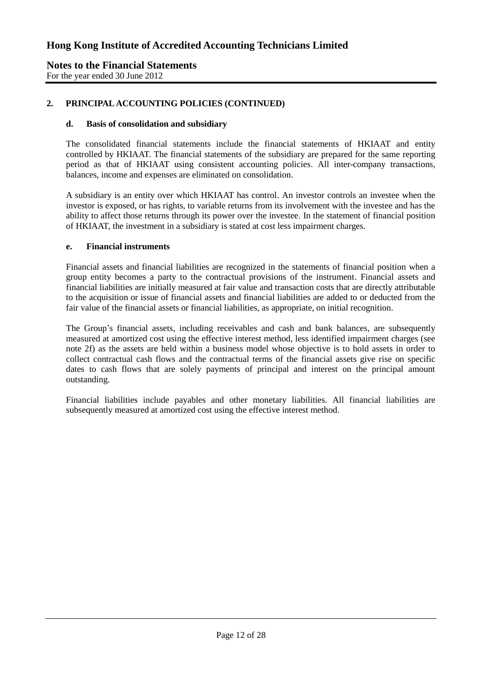# **2. PRINCIPAL ACCOUNTING POLICIES (CONTINUED)**

#### **d. Basis of consolidation and subsidiary**

The consolidated financial statements include the financial statements of HKIAAT and entity controlled by HKIAAT. The financial statements of the subsidiary are prepared for the same reporting period as that of HKIAAT using consistent accounting policies. All inter-company transactions, balances, income and expenses are eliminated on consolidation.

A subsidiary is an entity over which HKIAAT has control. An investor controls an investee when the investor is exposed, or has rights, to variable returns from its involvement with the investee and has the ability to affect those returns through its power over the investee. In the statement of financial position of HKIAAT, the investment in a subsidiary is stated at cost less impairment charges.

#### **e. Financial instruments**

Financial assets and financial liabilities are recognized in the statements of financial position when a group entity becomes a party to the contractual provisions of the instrument. Financial assets and financial liabilities are initially measured at fair value and transaction costs that are directly attributable to the acquisition or issue of financial assets and financial liabilities are added to or deducted from the fair value of the financial assets or financial liabilities, as appropriate, on initial recognition.

The Group's financial assets, including receivables and cash and bank balances, are subsequently measured at amortized cost using the effective interest method, less identified impairment charges (see note 2f) as the assets are held within a business model whose objective is to hold assets in order to collect contractual cash flows and the contractual terms of the financial assets give rise on specific dates to cash flows that are solely payments of principal and interest on the principal amount outstanding.

Financial liabilities include payables and other monetary liabilities. All financial liabilities are subsequently measured at amortized cost using the effective interest method.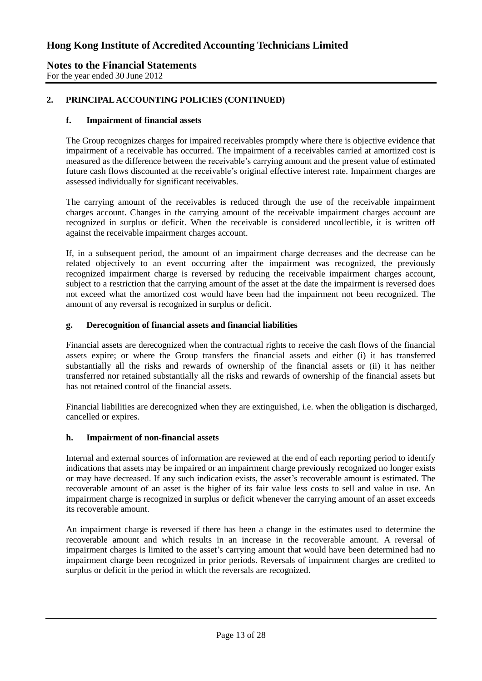#### **Notes to the Financial Statements** For the year ended 30 June 2012

# **2. PRINCIPAL ACCOUNTING POLICIES (CONTINUED)**

### **f. Impairment of financial assets**

The Group recognizes charges for impaired receivables promptly where there is objective evidence that impairment of a receivable has occurred. The impairment of a receivables carried at amortized cost is measured as the difference between the receivable's carrying amount and the present value of estimated future cash flows discounted at the receivable's original effective interest rate. Impairment charges are assessed individually for significant receivables.

The carrying amount of the receivables is reduced through the use of the receivable impairment charges account. Changes in the carrying amount of the receivable impairment charges account are recognized in surplus or deficit. When the receivable is considered uncollectible, it is written off against the receivable impairment charges account.

If, in a subsequent period, the amount of an impairment charge decreases and the decrease can be related objectively to an event occurring after the impairment was recognized, the previously recognized impairment charge is reversed by reducing the receivable impairment charges account, subject to a restriction that the carrying amount of the asset at the date the impairment is reversed does not exceed what the amortized cost would have been had the impairment not been recognized. The amount of any reversal is recognized in surplus or deficit.

#### **g. Derecognition of financial assets and financial liabilities**

Financial assets are derecognized when the contractual rights to receive the cash flows of the financial assets expire; or where the Group transfers the financial assets and either (i) it has transferred substantially all the risks and rewards of ownership of the financial assets or (ii) it has neither transferred nor retained substantially all the risks and rewards of ownership of the financial assets but has not retained control of the financial assets.

Financial liabilities are derecognized when they are extinguished, i.e. when the obligation is discharged, cancelled or expires.

#### **h. Impairment of non-financial assets**

Internal and external sources of information are reviewed at the end of each reporting period to identify indications that assets may be impaired or an impairment charge previously recognized no longer exists or may have decreased. If any such indication exists, the asset's recoverable amount is estimated. The recoverable amount of an asset is the higher of its fair value less costs to sell and value in use. An impairment charge is recognized in surplus or deficit whenever the carrying amount of an asset exceeds its recoverable amount.

An impairment charge is reversed if there has been a change in the estimates used to determine the recoverable amount and which results in an increase in the recoverable amount. A reversal of impairment charges is limited to the asset's carrying amount that would have been determined had no impairment charge been recognized in prior periods. Reversals of impairment charges are credited to surplus or deficit in the period in which the reversals are recognized.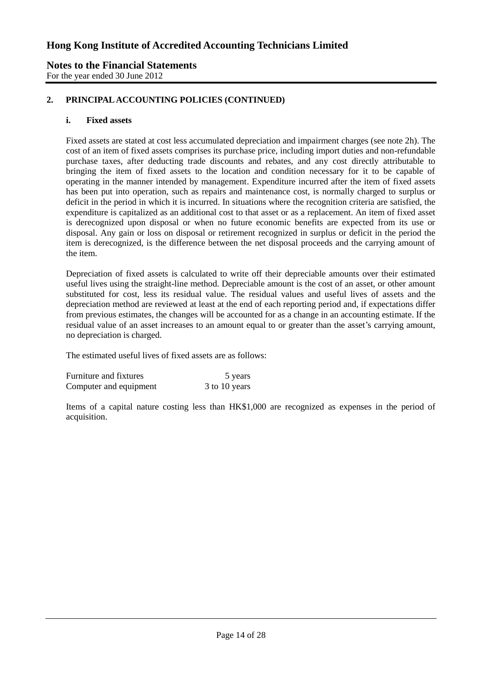## **Notes to the Financial Statements** For the year ended 30 June 2012

# **2. PRINCIPAL ACCOUNTING POLICIES (CONTINUED)**

#### **i. Fixed assets**

Fixed assets are stated at cost less accumulated depreciation and impairment charges (see note 2h). The cost of an item of fixed assets comprises its purchase price, including import duties and non-refundable purchase taxes, after deducting trade discounts and rebates, and any cost directly attributable to bringing the item of fixed assets to the location and condition necessary for it to be capable of operating in the manner intended by management. Expenditure incurred after the item of fixed assets has been put into operation, such as repairs and maintenance cost, is normally charged to surplus or deficit in the period in which it is incurred. In situations where the recognition criteria are satisfied, the expenditure is capitalized as an additional cost to that asset or as a replacement. An item of fixed asset is derecognized upon disposal or when no future economic benefits are expected from its use or disposal. Any gain or loss on disposal or retirement recognized in surplus or deficit in the period the item is derecognized, is the difference between the net disposal proceeds and the carrying amount of the item.

Depreciation of fixed assets is calculated to write off their depreciable amounts over their estimated useful lives using the straight-line method. Depreciable amount is the cost of an asset, or other amount substituted for cost, less its residual value. The residual values and useful lives of assets and the depreciation method are reviewed at least at the end of each reporting period and, if expectations differ from previous estimates, the changes will be accounted for as a change in an accounting estimate. If the residual value of an asset increases to an amount equal to or greater than the asset's carrying amount, no depreciation is charged.

The estimated useful lives of fixed assets are as follows:

| Furniture and fixtures | 5 years       |
|------------------------|---------------|
| Computer and equipment | 3 to 10 years |

Items of a capital nature costing less than HK\$1,000 are recognized as expenses in the period of acquisition.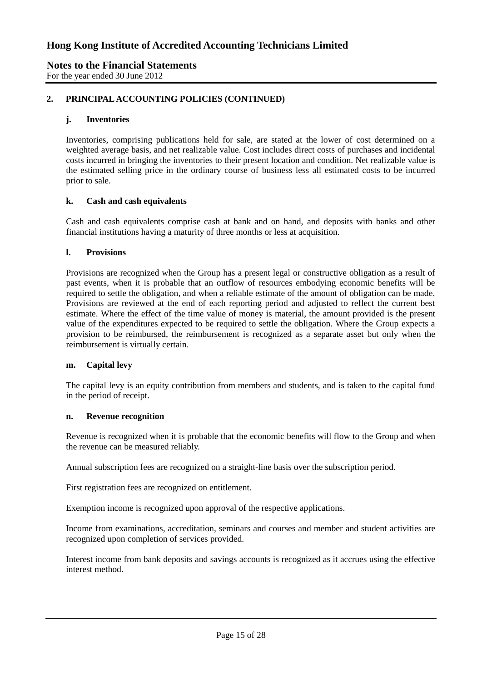### **Notes to the Financial Statements** For the year ended 30 June 2012

# **2. PRINCIPAL ACCOUNTING POLICIES (CONTINUED)**

## **j. Inventories**

Inventories, comprising publications held for sale, are stated at the lower of cost determined on a weighted average basis, and net realizable value. Cost includes direct costs of purchases and incidental costs incurred in bringing the inventories to their present location and condition. Net realizable value is the estimated selling price in the ordinary course of business less all estimated costs to be incurred prior to sale.

#### **k. Cash and cash equivalents**

Cash and cash equivalents comprise cash at bank and on hand, and deposits with banks and other financial institutions having a maturity of three months or less at acquisition.

#### **l. Provisions**

Provisions are recognized when the Group has a present legal or constructive obligation as a result of past events, when it is probable that an outflow of resources embodying economic benefits will be required to settle the obligation, and when a reliable estimate of the amount of obligation can be made. Provisions are reviewed at the end of each reporting period and adjusted to reflect the current best estimate. Where the effect of the time value of money is material, the amount provided is the present value of the expenditures expected to be required to settle the obligation. Where the Group expects a provision to be reimbursed, the reimbursement is recognized as a separate asset but only when the reimbursement is virtually certain.

#### **m. Capital levy**

The capital levy is an equity contribution from members and students, and is taken to the capital fund in the period of receipt.

#### **n. Revenue recognition**

Revenue is recognized when it is probable that the economic benefits will flow to the Group and when the revenue can be measured reliably.

Annual subscription fees are recognized on a straight-line basis over the subscription period.

First registration fees are recognized on entitlement.

Exemption income is recognized upon approval of the respective applications.

Income from examinations, accreditation, seminars and courses and member and student activities are recognized upon completion of services provided.

Interest income from bank deposits and savings accounts is recognized as it accrues using the effective interest method.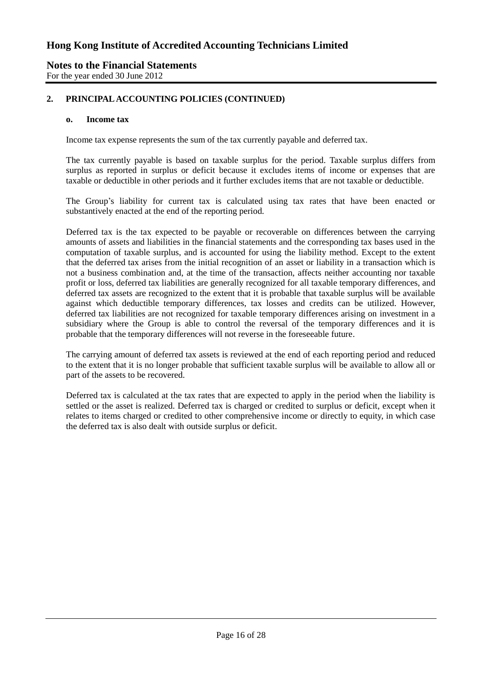## **Notes to the Financial Statements** For the year ended 30 June 2012

# **2. PRINCIPAL ACCOUNTING POLICIES (CONTINUED)**

#### **o. Income tax**

Income tax expense represents the sum of the tax currently payable and deferred tax.

The tax currently payable is based on taxable surplus for the period. Taxable surplus differs from surplus as reported in surplus or deficit because it excludes items of income or expenses that are taxable or deductible in other periods and it further excludes items that are not taxable or deductible.

The Group's liability for current tax is calculated using tax rates that have been enacted or substantively enacted at the end of the reporting period.

Deferred tax is the tax expected to be payable or recoverable on differences between the carrying amounts of assets and liabilities in the financial statements and the corresponding tax bases used in the computation of taxable surplus, and is accounted for using the liability method. Except to the extent that the deferred tax arises from the initial recognition of an asset or liability in a transaction which is not a business combination and, at the time of the transaction, affects neither accounting nor taxable profit or loss, deferred tax liabilities are generally recognized for all taxable temporary differences, and deferred tax assets are recognized to the extent that it is probable that taxable surplus will be available against which deductible temporary differences, tax losses and credits can be utilized. However, deferred tax liabilities are not recognized for taxable temporary differences arising on investment in a subsidiary where the Group is able to control the reversal of the temporary differences and it is probable that the temporary differences will not reverse in the foreseeable future.

The carrying amount of deferred tax assets is reviewed at the end of each reporting period and reduced to the extent that it is no longer probable that sufficient taxable surplus will be available to allow all or part of the assets to be recovered.

Deferred tax is calculated at the tax rates that are expected to apply in the period when the liability is settled or the asset is realized. Deferred tax is charged or credited to surplus or deficit, except when it relates to items charged or credited to other comprehensive income or directly to equity, in which case the deferred tax is also dealt with outside surplus or deficit.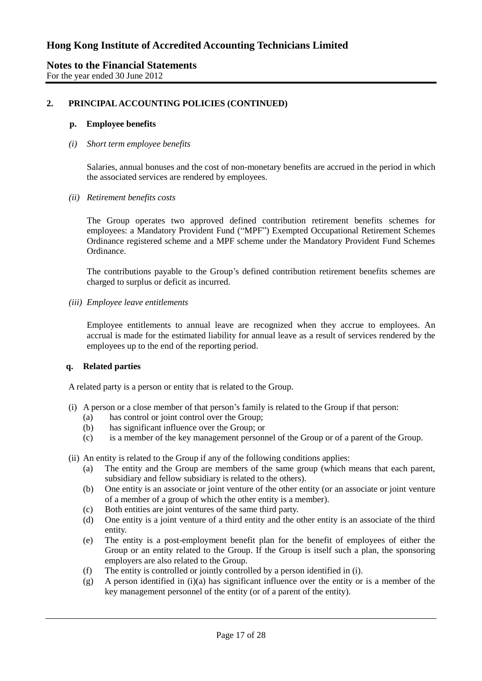## **2. PRINCIPAL ACCOUNTING POLICIES (CONTINUED)**

#### **p. Employee benefits**

#### *(i) Short term employee benefits*

Salaries, annual bonuses and the cost of non-monetary benefits are accrued in the period in which the associated services are rendered by employees.

*(ii) Retirement benefits costs*

The Group operates two approved defined contribution retirement benefits schemes for employees: a Mandatory Provident Fund ("MPF") Exempted Occupational Retirement Schemes Ordinance registered scheme and a MPF scheme under the Mandatory Provident Fund Schemes Ordinance.

The contributions payable to the Group's defined contribution retirement benefits schemes are charged to surplus or deficit as incurred.

*(iii) Employee leave entitlements*

Employee entitlements to annual leave are recognized when they accrue to employees. An accrual is made for the estimated liability for annual leave as a result of services rendered by the employees up to the end of the reporting period.

#### **q. Related parties**

A related party is a person or entity that is related to the Group.

- (i) A person or a close member of that person's family is related to the Group if that person:
	- (a) has control or joint control over the Group;
	- (b) has significant influence over the Group; or
	- (c) is a member of the key management personnel of the Group or of a parent of the Group.
- (ii) An entity is related to the Group if any of the following conditions applies:
	- (a) The entity and the Group are members of the same group (which means that each parent, subsidiary and fellow subsidiary is related to the others).
	- (b) One entity is an associate or joint venture of the other entity (or an associate or joint venture of a member of a group of which the other entity is a member).
	- (c) Both entities are joint ventures of the same third party.
	- (d) One entity is a joint venture of a third entity and the other entity is an associate of the third entity.
	- (e) The entity is a post-employment benefit plan for the benefit of employees of either the Group or an entity related to the Group. If the Group is itself such a plan, the sponsoring employers are also related to the Group.
	- (f) The entity is controlled or jointly controlled by a person identified in (i).
	- (g) A person identified in (i)(a) has significant influence over the entity or is a member of the key management personnel of the entity (or of a parent of the entity).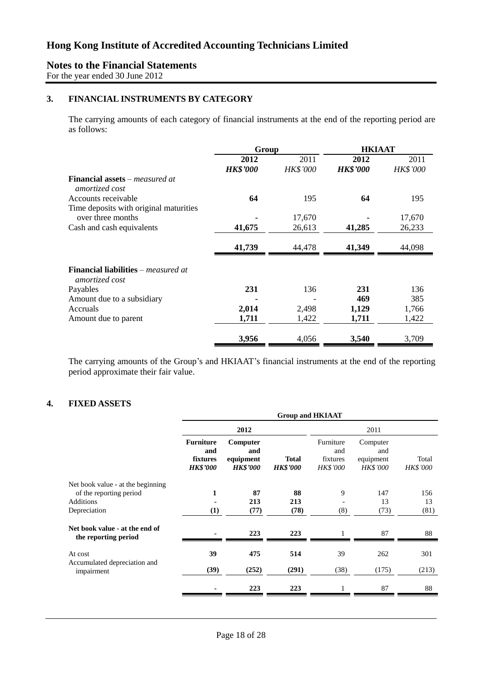# **Notes to the Financial Statements**

For the year ended 30 June 2012

# **3. FINANCIAL INSTRUMENTS BY CATEGORY**

The carrying amounts of each category of financial instruments at the end of the reporting period are as follows:

|                                                                     | Group           |                 | <b>HKIAAT</b>   |                 |
|---------------------------------------------------------------------|-----------------|-----------------|-----------------|-----------------|
|                                                                     | 2012            | 2011            | 2012            | 2011            |
|                                                                     | <b>HK\$'000</b> | <b>HK\$'000</b> | <b>HK\$'000</b> | <b>HK\$'000</b> |
| <b>Financial assets</b> – <i>measured at</i><br>amortized cost      |                 |                 |                 |                 |
| Accounts receivable                                                 | 64              | 195             | 64              | 195             |
| Time deposits with original maturities                              |                 |                 |                 |                 |
| over three months                                                   |                 | 17,670          |                 | 17,670          |
| Cash and cash equivalents                                           | 41,675          | 26,613          | 41,285          | 26,233          |
|                                                                     | 41,739          | 44,478          | 41,349          | 44,098          |
| <b>Financial liabilities</b> – <i>measured at</i><br>amortized cost |                 |                 |                 |                 |
| Payables                                                            | 231             | 136             | 231             | 136             |
| Amount due to a subsidiary                                          |                 |                 | 469             | 385             |
| Accruals                                                            | 2,014           | 2,498           | 1,129           | 1,766           |
| Amount due to parent                                                | 1,711           | 1,422           | 1,711           | 1,422           |
|                                                                     | 3,956           | 4,056           | 3,540           | 3,709           |

The carrying amounts of the Group's and HKIAAT's financial instruments at the end of the reporting period approximate their fair value.

# **4. FIXED ASSETS**

|                                                                                                  | <b>Group and HKIAAT</b>                                |                                                 |                                 |                                                 |                                                 |                          |
|--------------------------------------------------------------------------------------------------|--------------------------------------------------------|-------------------------------------------------|---------------------------------|-------------------------------------------------|-------------------------------------------------|--------------------------|
|                                                                                                  |                                                        | 2012                                            |                                 |                                                 | 2011                                            |                          |
|                                                                                                  | <b>Furniture</b><br>and<br>fixtures<br><b>HK\$'000</b> | Computer<br>and<br>equipment<br><b>HK\$'000</b> | <b>Total</b><br><b>HK\$'000</b> | Furniture<br>and<br>fixtures<br><b>HK\$'000</b> | Computer<br>and<br>equipment<br><b>HK\$'000</b> | Total<br><b>HK\$'000</b> |
| Net book value - at the beginning<br>of the reporting period<br><b>Additions</b><br>Depreciation | 1<br>(1)                                               | 87<br>213<br>(77)                               | 88<br>213<br>(78)               | 9<br>(8)                                        | 147<br>13<br>(73)                               | 156<br>13<br>(81)        |
| Net book value - at the end of<br>the reporting period                                           |                                                        | 223                                             | 223                             |                                                 | 87                                              | 88                       |
| At cost<br>Accumulated depreciation and<br>impairment                                            | 39<br>(39)                                             | 475<br>(252)                                    | 514<br>(291)                    | 39<br>(38)                                      | 262<br>(175)                                    | 301<br>(213)             |
|                                                                                                  |                                                        | 223                                             | 223                             |                                                 | 87                                              | 88                       |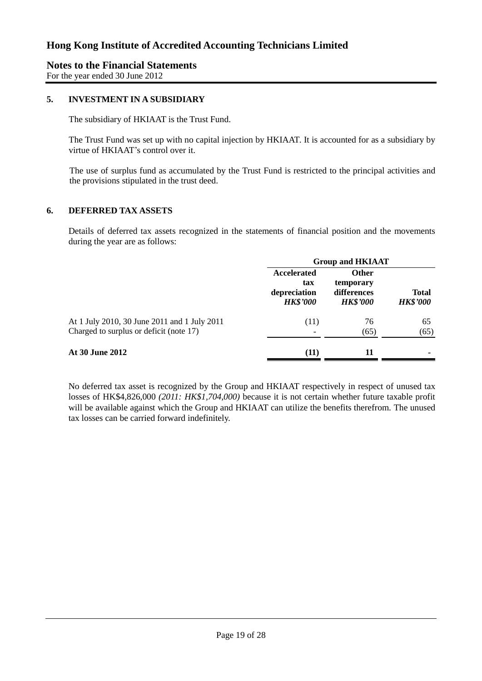For the year ended 30 June 2012

## **5. INVESTMENT IN A SUBSIDIARY**

The subsidiary of HKIAAT is the Trust Fund.

The Trust Fund was set up with no capital injection by HKIAAT. It is accounted for as a subsidiary by virtue of HKIAAT's control over it.

The use of surplus fund as accumulated by the Trust Fund is restricted to the principal activities and the provisions stipulated in the trust deed.

## **6. DEFERRED TAX ASSETS**

Details of deferred tax assets recognized in the statements of financial position and the movements during the year are as follows:

|                                                                                         | <b>Group and HKIAAT</b>                               |                                                             |                                 |
|-----------------------------------------------------------------------------------------|-------------------------------------------------------|-------------------------------------------------------------|---------------------------------|
|                                                                                         | Accelerated<br>tax<br>depreciation<br><b>HK\$'000</b> | <b>Other</b><br>temporary<br>differences<br><b>HK\$'000</b> | <b>Total</b><br><b>HK\$'000</b> |
| At 1 July 2010, 30 June 2011 and 1 July 2011<br>Charged to surplus or deficit (note 17) | (11)<br>$\qquad \qquad$                               | 76<br>(65)                                                  | 65<br>(65)                      |
| <b>At 30 June 2012</b>                                                                  | (11)                                                  | 11                                                          | ۰                               |

No deferred tax asset is recognized by the Group and HKIAAT respectively in respect of unused tax losses of HK\$4,826,000 *(2011: HK\$1,704,000)* because it is not certain whether future taxable profit will be available against which the Group and HKIAAT can utilize the benefits therefrom. The unused tax losses can be carried forward indefinitely.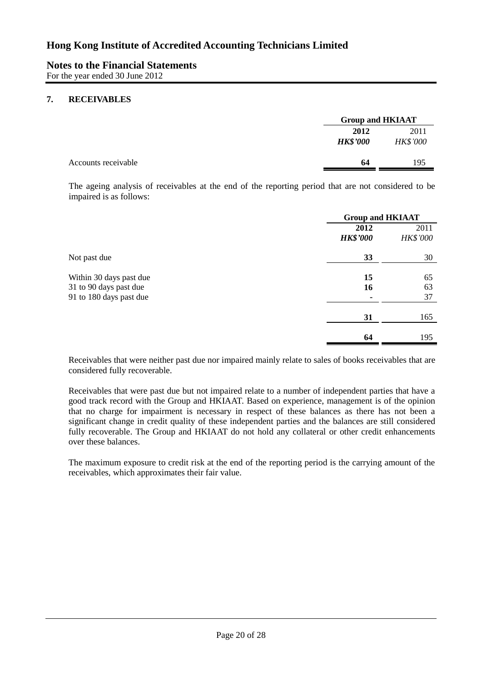# **7. RECEIVABLES**

|                         | <b>Group and HKIAAT</b> |  |
|-------------------------|-------------------------|--|
| 2012<br><b>HK\$'000</b> | 2011<br><b>HK\$'000</b> |  |
| 64                      | 195                     |  |
|                         |                         |  |

The ageing analysis of receivables at the end of the reporting period that are not considered to be impaired is as follows:

|                                                   |                         | <b>Group and HKIAAT</b> |  |
|---------------------------------------------------|-------------------------|-------------------------|--|
|                                                   | 2012<br><b>HK\$'000</b> | 2011<br><b>HK\$'000</b> |  |
| Not past due                                      | 33                      | 30                      |  |
| Within 30 days past due<br>31 to 90 days past due | 15<br>16                | 65<br>63                |  |
| 91 to 180 days past due                           | 31                      | 37<br>165               |  |
|                                                   | 64                      | 195                     |  |

Receivables that were neither past due nor impaired mainly relate to sales of books receivables that are considered fully recoverable.

Receivables that were past due but not impaired relate to a number of independent parties that have a good track record with the Group and HKIAAT. Based on experience, management is of the opinion that no charge for impairment is necessary in respect of these balances as there has not been a significant change in credit quality of these independent parties and the balances are still considered fully recoverable. The Group and HKIAAT do not hold any collateral or other credit enhancements over these balances.

The maximum exposure to credit risk at the end of the reporting period is the carrying amount of the receivables, which approximates their fair value.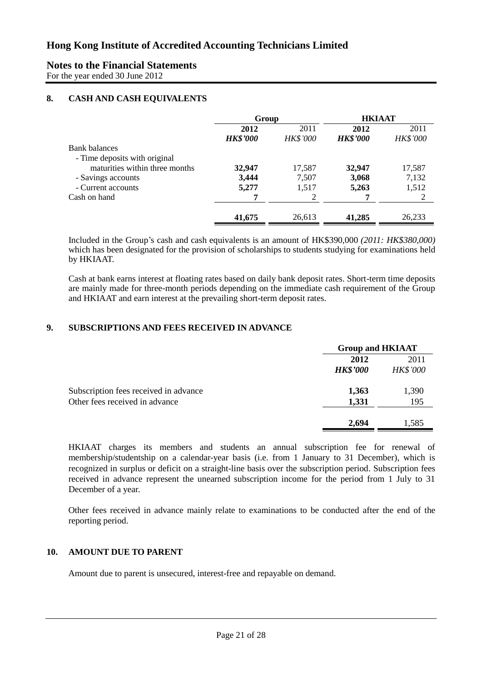For the year ended 30 June 2012

# **8. CASH AND CASH EQUIVALENTS**

|                                | Group           |                 | <b>HKIAAT</b>   |                 |
|--------------------------------|-----------------|-----------------|-----------------|-----------------|
|                                | 2012            | 2011            | 2012            | 2011            |
|                                | <b>HK\$'000</b> | <b>HK\$'000</b> | <b>HK\$'000</b> | <b>HK\$'000</b> |
| <b>Bank balances</b>           |                 |                 |                 |                 |
| - Time deposits with original  |                 |                 |                 |                 |
| maturities within three months | 32,947          | 17,587          | 32,947          | 17,587          |
| - Savings accounts             | 3,444           | 7,507           | 3,068           | 7,132           |
| - Current accounts             | 5,277           | 1,517           | 5,263           | 1,512           |
| Cash on hand                   | 7               | 2               |                 |                 |
|                                | 41,675          | 26,613          | 41,285          | 26,233          |

Included in the Group's cash and cash equivalents is an amount of HK\$390,000 *(2011: HK\$380,000)* which has been designated for the provision of scholarships to students studying for examinations held by HKIAAT.

Cash at bank earns interest at floating rates based on daily bank deposit rates. Short-term time deposits are mainly made for three-month periods depending on the immediate cash requirement of the Group and HKIAAT and earn interest at the prevailing short-term deposit rates.

## **9. SUBSCRIPTIONS AND FEES RECEIVED IN ADVANCE**

|                                       | <b>Group and HKIAAT</b> |                 |
|---------------------------------------|-------------------------|-----------------|
|                                       | 2012                    | 2011            |
|                                       | <b>HK\$'000</b>         | <b>HK\$'000</b> |
| Subscription fees received in advance | 1,363                   | 1,390           |
| Other fees received in advance        | 1,331                   | 195             |
|                                       | 2,694                   | 1,585           |

HKIAAT charges its members and students an annual subscription fee for renewal of membership/studentship on a calendar-year basis (i.e. from 1 January to 31 December), which is recognized in surplus or deficit on a straight-line basis over the subscription period. Subscription fees received in advance represent the unearned subscription income for the period from 1 July to 31 December of a year.

Other fees received in advance mainly relate to examinations to be conducted after the end of the reporting period.

# **10. AMOUNT DUE TO PARENT**

Amount due to parent is unsecured, interest-free and repayable on demand.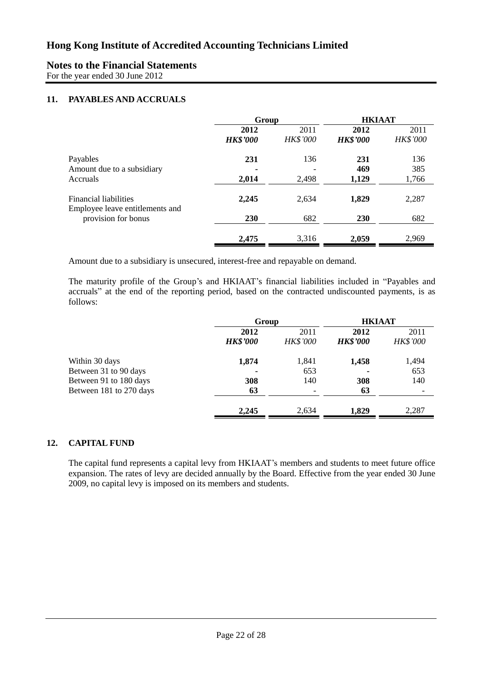For the year ended 30 June 2012

# **11. PAYABLES AND ACCRUALS**

|                                                          | Group                   |                         | <b>HKIAAT</b>           |                         |
|----------------------------------------------------------|-------------------------|-------------------------|-------------------------|-------------------------|
|                                                          | 2012<br><b>HK\$'000</b> | 2011<br><b>HK\$'000</b> | 2012<br><b>HK\$'000</b> | 2011<br><b>HK\$'000</b> |
| Payables<br>Amount due to a subsidiary                   | 231                     | 136                     | 231<br>469              | 136<br>385              |
| Accruals                                                 | 2,014                   | 2,498                   | 1,129                   | 1,766                   |
| Financial liabilities<br>Employee leave entitlements and | 2,245                   | 2,634                   | 1,829                   | 2,287                   |
| provision for bonus                                      | 230                     | 682                     | 230                     | 682                     |
|                                                          | 2,475                   | 3,316                   | 2,059                   | 2,969                   |

Amount due to a subsidiary is unsecured, interest-free and repayable on demand.

The maturity profile of the Group's and HKIAAT's financial liabilities included in "Payables and accruals" at the end of the reporting period, based on the contracted undiscounted payments, is as follows:

|                         | Group           |                 | <b>HKIAAT</b>   |                 |
|-------------------------|-----------------|-----------------|-----------------|-----------------|
|                         | 2012            | 2011            | 2012            | 2011            |
|                         | <b>HK\$'000</b> | <b>HK\$'000</b> | <b>HK\$'000</b> | <b>HK\$'000</b> |
| Within 30 days          | 1,874           | 1,841           | 1,458           | 1,494           |
| Between 31 to 90 days   |                 | 653             |                 | 653             |
| Between 91 to 180 days  | 308             | 140             | 308             | 140             |
| Between 181 to 270 days | 63              |                 | 63              |                 |
|                         | 2,245           | 2,634           | 1,829           | 2,287           |

## **12. CAPITAL FUND**

The capital fund represents a capital levy from HKIAAT's members and students to meet future office expansion. The rates of levy are decided annually by the Board. Effective from the year ended 30 June 2009, no capital levy is imposed on its members and students.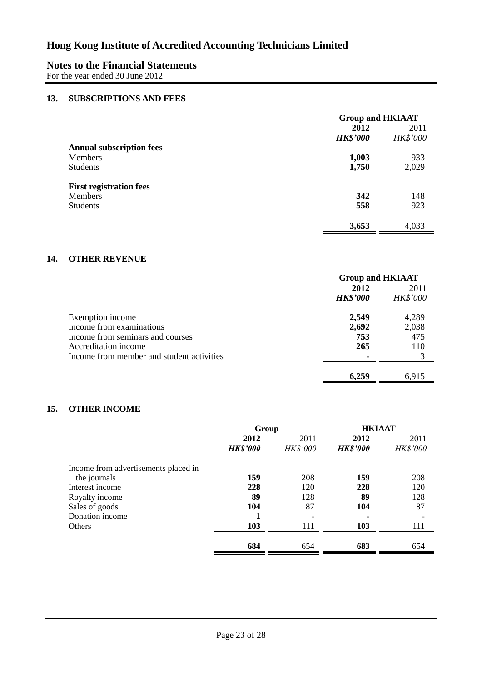# **Notes to the Financial Statements**

For the year ended 30 June 2012

### **13. SUBSCRIPTIONS AND FEES**

|                                 | <b>Group and HKIAAT</b> |                 |
|---------------------------------|-------------------------|-----------------|
|                                 | 2012                    | 2011            |
|                                 | <b>HK\$'000</b>         | <b>HK\$'000</b> |
| <b>Annual subscription fees</b> |                         |                 |
| <b>Members</b>                  | 1,003                   | 933             |
| <b>Students</b>                 | 1,750                   | 2,029           |
| <b>First registration fees</b>  |                         |                 |
| Members                         | 342                     | 148             |
| <b>Students</b>                 | 558                     | 923             |
|                                 |                         |                 |
|                                 | 3,653                   | 4,033           |

## **14. OTHER REVENUE**

|                                           | <b>Group and HKIAAT</b> |                 |
|-------------------------------------------|-------------------------|-----------------|
|                                           | 2012                    | 2011            |
|                                           | <b>HK\$'000</b>         | <b>HK\$'000</b> |
| Exemption income                          | 2,549                   | 4,289           |
| Income from examinations                  | 2,692                   | 2,038           |
| Income from seminars and courses          | 753                     | 475             |
| Accreditation income                      | 265                     | 110             |
| Income from member and student activities | -                       |                 |
|                                           | 6.259                   | 6.915           |

### **15. OTHER INCOME**

|                                      | Group           |                 | <b>HKIAAT</b>   |          |
|--------------------------------------|-----------------|-----------------|-----------------|----------|
|                                      | 2012            | 2011            | 2012            | 2011     |
|                                      | <b>HK\$'000</b> | <b>HK\$'000</b> | <b>HK\$'000</b> | HK\$'000 |
| Income from advertisements placed in |                 |                 |                 |          |
| the journals                         | 159             | 208             | 159             | 208      |
| Interest income                      | 228             | 120             | 228             | 120      |
| Royalty income                       | 89              | 128             | 89              | 128      |
| Sales of goods                       | 104             | 87              | 104             | 87       |
| Donation income                      |                 |                 |                 |          |
| <b>Others</b>                        | 103             | 111             | 103             | 111      |
|                                      |                 |                 |                 |          |
|                                      | 684             | 654             | 683             | 654      |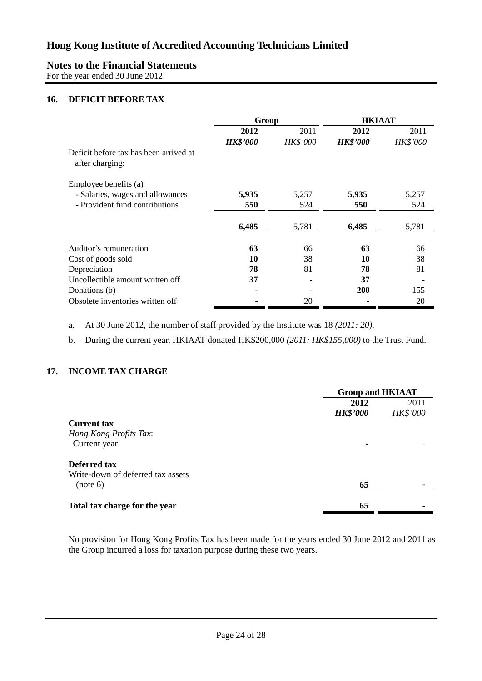# **Notes to the Financial Statements**

For the year ended 30 June 2012

# **16. DEFICIT BEFORE TAX**

|                                        | Group           |                 | <b>HKIAAT</b>   |                 |
|----------------------------------------|-----------------|-----------------|-----------------|-----------------|
|                                        | 2012            | 2011            | 2012            | 2011            |
|                                        | <b>HK\$'000</b> | <b>HK\$'000</b> | <b>HK\$'000</b> | <b>HK\$'000</b> |
| Deficit before tax has been arrived at |                 |                 |                 |                 |
| after charging:                        |                 |                 |                 |                 |
| Employee benefits (a)                  |                 |                 |                 |                 |
| - Salaries, wages and allowances       | 5,935           | 5,257           | 5,935           | 5,257           |
| - Provident fund contributions         | 550             | 524             | 550             | 524             |
|                                        | 6,485           | 5,781           | 6,485           | 5,781           |
| Auditor's remuneration                 | 63              | 66              | 63              | 66              |
| Cost of goods sold                     | 10              | 38              | 10              | 38              |
| Depreciation                           | 78              | 81              | 78              | 81              |
| Uncollectible amount written off       | 37              |                 | 37              |                 |
| Donations (b)                          | $\blacksquare$  |                 | 200             | 155             |
| Obsolete inventories written off       |                 | 20              |                 | 20              |

a. At 30 June 2012, the number of staff provided by the Institute was 18 *(2011: 20)*.

b. During the current year, HKIAAT donated HK\$200,000 *(2011: HK\$155,000)* to the Trust Fund.

# **17. INCOME TAX CHARGE**

|                                   | <b>Group and HKIAAT</b> |                 |
|-----------------------------------|-------------------------|-----------------|
|                                   | 2012                    | 2011            |
|                                   | <b>HK\$'000</b>         | <b>HK\$'000</b> |
| <b>Current tax</b>                |                         |                 |
| Hong Kong Profits Tax:            |                         |                 |
| Current year                      | ۰                       |                 |
| Deferred tax                      |                         |                 |
| Write-down of deferred tax assets |                         |                 |
| (note 6)                          | 65                      |                 |
| Total tax charge for the year     | 65                      |                 |

No provision for Hong Kong Profits Tax has been made for the years ended 30 June 2012 and 2011 as the Group incurred a loss for taxation purpose during these two years.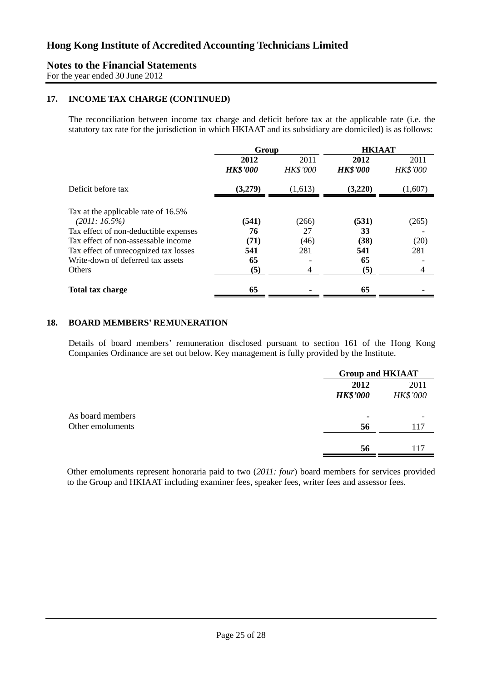For the year ended 30 June 2012

#### **17. INCOME TAX CHARGE (CONTINUED)**

The reconciliation between income tax charge and deficit before tax at the applicable rate (i.e. the statutory tax rate for the jurisdiction in which HKIAAT and its subsidiary are domiciled) is as follows:

|                                                        | Group                   |                         | <b>HKIAAT</b>           |                         |
|--------------------------------------------------------|-------------------------|-------------------------|-------------------------|-------------------------|
|                                                        | 2012<br><b>HK\$'000</b> | 2011<br><b>HK\$'000</b> | 2012<br><b>HK\$'000</b> | 2011<br><b>HK\$'000</b> |
| Deficit before tax                                     | (3,279)                 | (1,613)                 | (3,220)                 | (1,607)                 |
| Tax at the applicable rate of 16.5%<br>$(2011:16.5\%)$ | (541)                   | (266)                   | (531)                   | (265)                   |
| Tax effect of non-deductible expenses                  | 76                      | 27                      | 33                      |                         |
| Tax effect of non-assessable income                    | (71)                    | (46)                    | (38)                    | (20)                    |
| Tax effect of unrecognized tax losses                  | 541                     | 281                     | 541                     | 281                     |
| Write-down of deferred tax assets                      | 65                      |                         | 65                      |                         |
| Others                                                 | (5)                     | 4                       | (5)                     | $\overline{4}$          |
| Total tax charge                                       | 65                      |                         | 65                      |                         |

#### **18. BOARD MEMBERS' REMUNERATION**

Details of board members' remuneration disclosed pursuant to section 161 of the Hong Kong Companies Ordinance are set out below. Key management is fully provided by the Institute.

|                                      |                         | <b>Group and HKIAAT</b> |  |
|--------------------------------------|-------------------------|-------------------------|--|
|                                      | 2012<br><b>HK\$'000</b> | 2011<br><b>HK\$'000</b> |  |
| As board members<br>Other emoluments | 56                      | 117                     |  |
|                                      | 56                      | 117                     |  |

Other emoluments represent honoraria paid to two (*2011: four*) board members for services provided to the Group and HKIAAT including examiner fees, speaker fees, writer fees and assessor fees.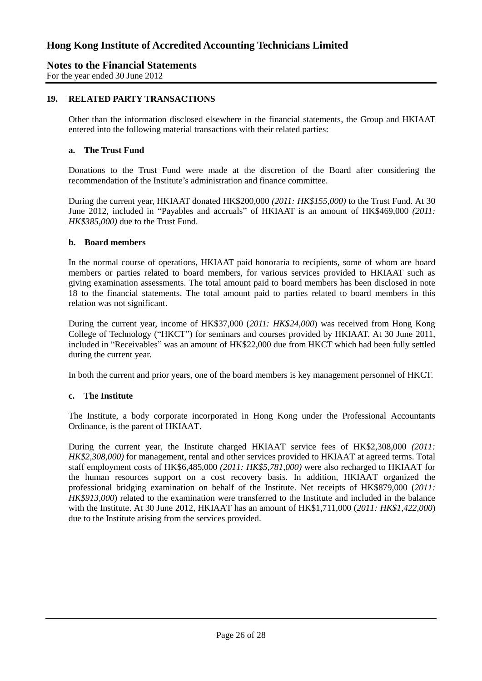For the year ended 30 June 2012

### **19. RELATED PARTY TRANSACTIONS**

Other than the information disclosed elsewhere in the financial statements, the Group and HKIAAT entered into the following material transactions with their related parties:

#### **a. The Trust Fund**

Donations to the Trust Fund were made at the discretion of the Board after considering the recommendation of the Institute's administration and finance committee.

During the current year, HKIAAT donated HK\$200,000 *(2011: HK\$155,000)* to the Trust Fund. At 30 June 2012, included in "Payables and accruals" of HKIAAT is an amount of HK\$469,000 *(2011: HK\$385,000)* due to the Trust Fund.

#### **b. Board members**

In the normal course of operations, HKIAAT paid honoraria to recipients, some of whom are board members or parties related to board members, for various services provided to HKIAAT such as giving examination assessments. The total amount paid to board members has been disclosed in note 18 to the financial statements. The total amount paid to parties related to board members in this relation was not significant.

During the current year, income of HK\$37,000 (*2011: HK\$24,000*) was received from Hong Kong College of Technology ("HKCT") for seminars and courses provided by HKIAAT. At 30 June 2011, included in "Receivables" was an amount of HK\$22,000 due from HKCT which had been fully settled during the current year.

In both the current and prior years, one of the board members is key management personnel of HKCT.

#### **c. The Institute**

The Institute, a body corporate incorporated in Hong Kong under the Professional Accountants Ordinance, is the parent of HKIAAT.

During the current year, the Institute charged HKIAAT service fees of HK\$2,308,000 *(2011: HK\$2,308,000)* for management, rental and other services provided to HKIAAT at agreed terms. Total staff employment costs of HK\$6,485,000 *(2011: HK\$5,781,000)* were also recharged to HKIAAT for the human resources support on a cost recovery basis. In addition, HKIAAT organized the professional bridging examination on behalf of the Institute. Net receipts of HK\$879,000 (*2011: HK\$913,000*) related to the examination were transferred to the Institute and included in the balance with the Institute. At 30 June 2012, HKIAAT has an amount of HK\$1,711,000 (*2011: HK\$1,422,000*) due to the Institute arising from the services provided.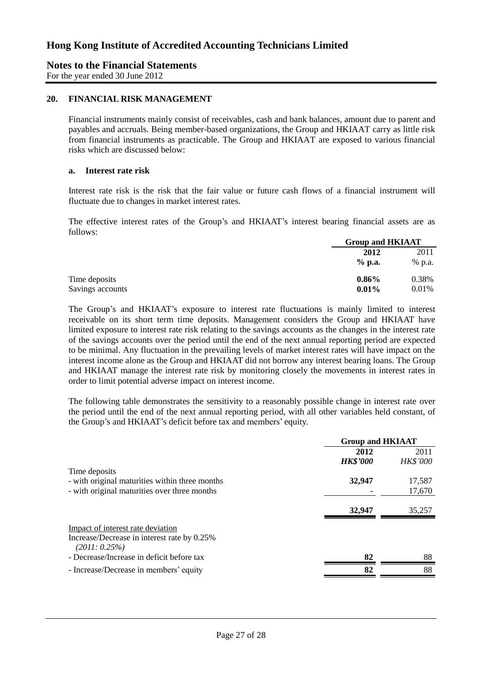For the year ended 30 June 2012

#### **20. FINANCIAL RISK MANAGEMENT**

Financial instruments mainly consist of receivables, cash and bank balances, amount due to parent and payables and accruals. Being member-based organizations, the Group and HKIAAT carry as little risk from financial instruments as practicable. The Group and HKIAAT are exposed to various financial risks which are discussed below:

#### **a. Interest rate risk**

Interest rate risk is the risk that the fair value or future cash flows of a financial instrument will fluctuate due to changes in market interest rates.

The effective interest rates of the Group's and HKIAAT's interest bearing financial assets are as follows:

|                  |          | <b>Group and HKIAAT</b> |  |
|------------------|----------|-------------------------|--|
|                  | 2012     | 2011                    |  |
|                  | $%$ p.a. | % p.a.                  |  |
| Time deposits    | $0.86\%$ | 0.38%                   |  |
| Savings accounts | 0.01%    | 0.01%                   |  |

The Group's and HKIAAT's exposure to interest rate fluctuations is mainly limited to interest receivable on its short term time deposits. Management considers the Group and HKIAAT have limited exposure to interest rate risk relating to the savings accounts as the changes in the interest rate of the savings accounts over the period until the end of the next annual reporting period are expected to be minimal. Any fluctuation in the prevailing levels of market interest rates will have impact on the interest income alone as the Group and HKIAAT did not borrow any interest bearing loans. The Group and HKIAAT manage the interest rate risk by monitoring closely the movements in interest rates in order to limit potential adverse impact on interest income.

The following table demonstrates the sensitivity to a reasonably possible change in interest rate over the period until the end of the next annual reporting period, with all other variables held constant, of the Group's and HKIAAT's deficit before tax and members' equity.

|                                                                                                      | <b>Group and HKIAAT</b> |                         |
|------------------------------------------------------------------------------------------------------|-------------------------|-------------------------|
| Time deposits                                                                                        | 2012<br><b>HK\$'000</b> | 2011<br><b>HK\$'000</b> |
| - with original maturities within three months<br>- with original maturities over three months       | 32,947                  | 17,587<br>17,670        |
|                                                                                                      | 32,947                  | 35,257                  |
| Impact of interest rate deviation<br>Increase/Decrease in interest rate by 0.25%<br>$(2011: 0.25\%)$ |                         |                         |
| - Decrease/Increase in deficit before tax                                                            | 82                      | 88                      |
| - Increase/Decrease in members' equity                                                               | 82                      | 88                      |